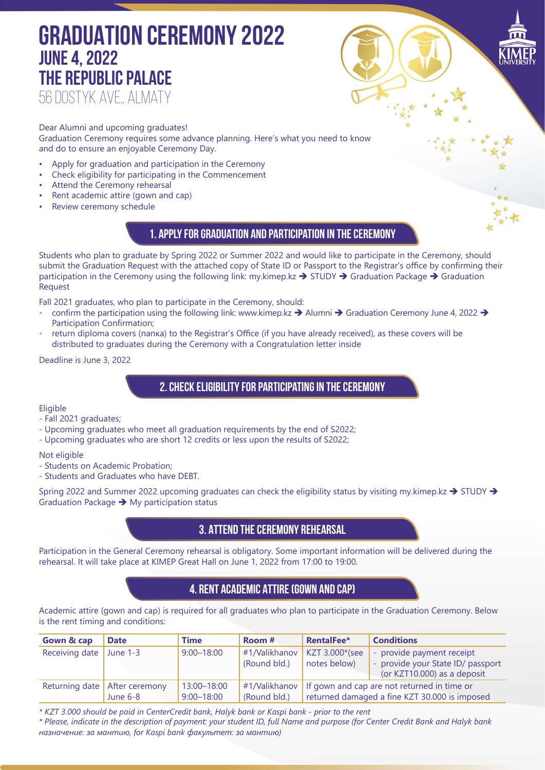# **GRADUATION CEREMONY 2022 June 4, 2022 THE REPUBLIC PALACE** 56 DOSTYK Ave., Almaty

Dear Alumni and upcoming graduates! Graduation Ceremony requires some advance planning. Here's what you need to know and do to ensure an enjoyable Ceremony Day.

- Apply for graduation and participation in the Ceremony
- Check eligibility for participating in the Commencement
- Attend the Ceremony rehearsal
- Rent academic attire (gown and cap)
- Review ceremony schedule

### **1. Apply for graduation and participation in the Ceremony**

Students who plan to graduate by Spring 2022 or Summer 2022 and would like to participate in the Ceremony, should submit the Graduation Request with the attached copy of State ID or Passport to the Registrar's office by confirming their participation in the Ceremony using the following link: my.kimep.kz  $\rightarrow$  STUDY  $\rightarrow$  Graduation Package  $\rightarrow$  Graduation Request

Fall 2021 graduates, who plan to participate in the Ceremony, should:

- confirm the participation using the following link: www.kimep.kz  $\rightarrow$  Alumni  $\rightarrow$  Graduation Ceremony June 4, 2022  $\rightarrow$ Participation Confirmation;
- return diploma covers (папка) to the Registrar's Office (if you have already received), as these covers will be distributed to graduates during the Ceremony with a Congratulation letter inside

Deadline is June 3, 2022

#### **2. Check eligibility for participating in the Ceremony**

**Eligible** 

- Fall 2021 graduates;
- Upcoming graduates who meet all graduation requirements by the end of S2022;
- Upcoming graduates who are short 12 credits or less upon the results of S2022;

Not eligible

- Students on Academic Probation;
- Students and Graduates who have DEBT.

Spring 2022 and Summer 2022 upcoming graduates can check the eligibility status by visiting my.kimep.kz  $\rightarrow$  STUDY  $\rightarrow$ Graduation Package  $\rightarrow$  My participation status

### **3. Attend the Ceremony Rehearsal**

Participation in the General Ceremony rehearsal is obligatory. Some important information will be delivered during the rehearsal. It will take place at KIMEP Great Hall on June 1, 2022 from 17:00 to 19:00.

## **4. Rent Academic Attire (gown and cap)**

Academic attire (gown and cap) is required for all graduates who plan to participate in the Graduation Ceremony. Below is the rent timing and conditions:

| <b>Gown &amp; cap</b>     | <b>Date</b>                                 | <b>Time</b>                   | Room #                        | RentalFee*                                                                                   | <b>Conditions</b>                                                                             |
|---------------------------|---------------------------------------------|-------------------------------|-------------------------------|----------------------------------------------------------------------------------------------|-----------------------------------------------------------------------------------------------|
| Receiving date June $1-3$ |                                             | $9:00 - 18:00$                | #1/Valikhanov<br>(Round bld.) | KZT 3.000*(see<br>notes below)                                                               | - provide payment receipt<br>- provide your State ID/ passport<br>(or KZT10.000) as a deposit |
|                           | Returning date   After ceremony<br>June 6-8 | 13:00-18:00<br>$9:00 - 18:00$ | #1/Valikhanov<br>(Round bld.) | If gown and cap are not returned in time or<br>returned damaged a fine KZT 30.000 is imposed |                                                                                               |

*\* KZT 3.000 should be paid in CenterCredit bank, Halyk bank or Kaspi bank - prior to the rent*

*\* Please, indicate in the description of payment: your student ID, full Name and purpose (for Center Credit Bank and Halyk bank назначение: за мантию, for Kaspi bank факультет: за мантию)*